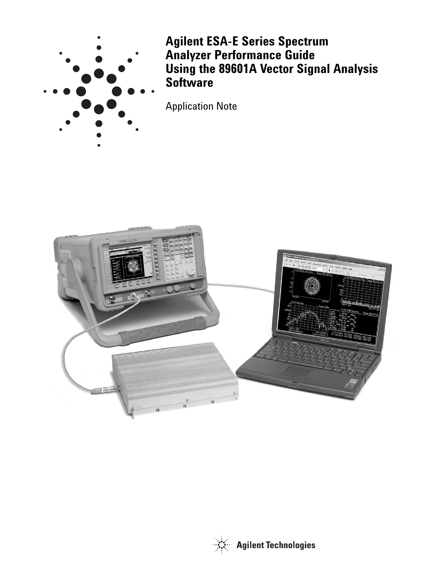

**Agilent ESA-E Series Spectrum Analyzer Performance Guide Using the 89601A Vector Signal Analysis Software**

Application Note



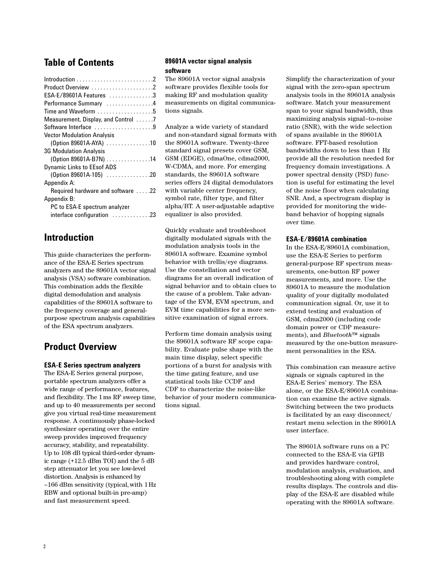# **Table of Contents**

| Product Overview 2                                       |
|----------------------------------------------------------|
| ESA-E/89601A Features 3                                  |
| Performance Summary 4                                    |
| Time and Waveform $\ldots \ldots \ldots \ldots \ldots 5$ |
| Measurement, Display, and Control 7                      |
| Software Interface 9                                     |
| <b>Vector Modulation Analysis</b>                        |
| (Option 89601A-AYA) 10                                   |
| <b>3G Modulation Analysis</b>                            |
| (Option 89601A-B7N) 14                                   |
| <b>Dynamic Links to EEsof ADS</b>                        |
| (Option 89601A-105) 20                                   |
| Appendix A:                                              |
| Required hardware and software 22                        |
| Appendix B:                                              |
| PC to ESA-E spectrum analyzer                            |
| interface configuration 23                               |
|                                                          |

# **Introduction**

This guide characterizes the performance of the ESA-E Series spectrum analyzers and the 89601A vector signal analysis (VSA) software combination. This combination adds the flexible digital demodulation and analysis capabilities of the 89601A software to the frequency coverage and generalpurpose spectrum analysis capabilities of the ESA spectrum analyzers.

# **Product Overview**

### **ESA-E Series spectrum analyzers**

The ESA-E Series general purpose, portable spectrum analyzers offer a wide range of performance, features, and flexibility. The 1ms RF sweep time, and up to 40 measurements per second give you virtual real-time measurement response. A continuously phase-locked synthesizer operating over the entire sweep provides improved frequency accuracy, stability, and repeatability. Up to 108 dB typical third-order dynamic range (+12.5 dBm TOI) and the 5 dB step attenuator let you see low-level distortion. Analysis is enhanced by –166 dBm sensitivity (typical,with 1Hz RBW and optional built-in pre-amp) and fast measurement speed.

### **89601A vector signal analysis software**

The 89601A vector signal analysis software provides flexible tools for making RF and modulation quality measurements on digital communications signals.

Analyze a wide variety of standard and non-standard signal formats with the 89601A software. Twenty-three standard signal presets cover GSM, GSM (EDGE), cdmaOne, cdma2000, W-CDMA, and more. For emerging standards, the 89601A software series offers 24 digital demodulators with variable center frequency, symbol rate, filter type, and filter alpha/BT. A user-adjustable adaptive equalizer is also provided.

Quickly evaluate and troubleshoot digitally modulated signals with the modulation analysis tools in the 89601A software. Examine symbol behavior with trellis/eye diagrams. Use the constellation and vector diagrams for an overall indication of signal behavior and to obtain clues to the cause of a problem. Take advantage of the EVM, EVM spectrum, and EVM time capabilities for a more sensitive examination of signal errors.

Perform time domain analysis using the 89601A software RF scope capability. Evaluate pulse shape with the main time display, select specific portions of a burst for analysis with the time gating feature, and use statistical tools like CCDF and CDF to characterize the noise-like behavior of your modern communications signal.

Simplify the characterization of your signal with the zero-span spectrum analysis tools in the 89601A analysis software. Match your measurement span to your signal bandwidth, thus maximizing analysis signal–to-noise ratio (SNR), with the wide selection of spans available in the 89601A software. FFT-based resolution bandwidths down to less than 1 Hz provide all the resolution needed for frequency domain investigations. A power spectral density (PSD) function is useful for estimating the level of the noise floor when calculating SNR. And, a spectrogram display is provided for monitoring the wideband behavior of hopping signals over time.

#### **ESA-E/89601A combination**

In the ESA-E/89601A combination, use the ESA-E Series to perform general-purpose RF spectrum measurements, one-button RF power measurements, and more. Use the 89601A to measure the modulation quality of your digitally modulated communication signal. Or, use it to extend testing and evaluation of GSM, cdma2000 (including code domain power or CDP measurements), and *Bluetooth*™ signals measured by the one-button measurement personalities in the ESA.

This combination can measure active signals or signals captured in the ESA-E Series' memory. The ESA alone, or the ESA-E/89601A combination can examine the active signals. Switching between the two products is facilitated by an easy disconnect/ restart menu selection in the 89601A user interface.

The 89601A software runs on a PC connected to the ESA-E via GPIB and provides hardware control, modulation analysis, evaluation, and troubleshooting along with complete results displays. The controls and display of the ESA-E are disabled while operating with the 89601A software.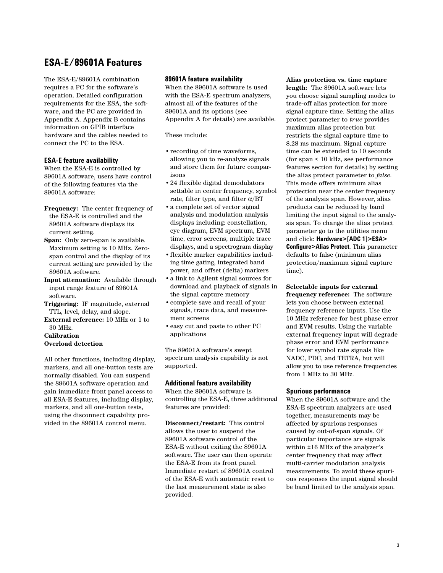# **ESA-E/89601A Features**

The ESA-E/89601A combination requires a PC for the software's operation. Detailed configuration requirements for the ESA, the software, and the PC are provided in Appendix A. Appendix B contains information on GPIB interface hardware and the cables needed to connect the PC to the ESA.

### **ESA-E feature availability**

When the ESA-E is controlled by 89601A software, users have control of the following features via the 89601A software:

- **Frequency:** The center frequency of the ESA-E is controlled and the 89601A software displays its current setting.
- **Span:** Only zero-span is available. Maximum setting is 10 MHz. Zerospan control and the display of its current setting are provided by the 89601A software.
- **Input attenuation:** Available through input range feature of 89601A software.
- **Triggering:** IF magnitude, external TTL, level, delay, and slope.
- **External reference:** 10 MHz or 1 to 30 MHz.
- **Calibration Overload detection**

All other functions, including display, markers, and all one-button tests are normally disabled. You can suspend the 89601A software operation and gain immediate front panel access to all ESA-E features, including display, markers, and all one-button tests, using the disconnect capability provided in the 89601A control menu.

#### **89601A feature availability**

When the 89601A software is used with the ESA-E spectrum analyzers, almost all of the features of the 89601A and its options (see Appendix A for details) are available.

These include:

- •recording of time waveforms, allowing you to re-analyze signals and store them for future comparisons
- •24 flexible digital demodulators settable in center frequency, symbol rate, filter type, and filter  $\alpha/BT$
- •a complete set of vector signal analysis and modulation analysis displays including: constellation, eye diagram, EVM spectrum, EVM time, error screens, multiple trace displays, and a spectrogram display
- •flexible marker capabilities including time gating, integrated band power, and offset (delta) markers
- •a link to Agilent signal sources for download and playback of signals in the signal capture memory
- •complete save and recall of your signals, trace data, and measurement screens
- •easy cut and paste to other PC applications

The 89601A software's swept spectrum analysis capability is not supported.

### **Additional feature availability**

When the 89601A software is controlling the ESA-E, three additional features are provided:

**Disconnect/restart:** This control allows the user to suspend the 89601A software control of the ESA-E without exiting the 89601A software. The user can then operate the ESA-E from its front panel. Immediate restart of 89601A control of the ESA-E with automatic reset to the last measurement state is also provided.

**Alias protection vs. time capture length:** The 89601A software lets you choose signal sampling modes to trade-off alias protection for more signal capture time. Setting the alias protect parameter to *true* provides maximum alias protection but restricts the signal capture time to 8.28 ms maximum. Signal capture time can be extended to 10 seconds (for span < 10 kHz, see performance features section for details) by setting the alias protect parameter to *false*. This mode offers minimum alias protection near the center frequency of the analysis span. However, alias products can be reduced by band limiting the input signal to the analysis span. To change the alias protect parameter go to the utilities menu and click: **Hardware>[ADC 1]>ESA> Configure>Alias Protect**. This parameter defaults to false (minimum alias protection/maximum signal capture time).

**Selectable inputs for external** 

**frequency reference:** The software lets you choose between external frequency reference inputs. Use the 10 MHz reference for best phase error and EVM results. Using the variable external frequency input will degrade phase error and EVM performance for lower symbol rate signals like NADC, PDC, and TETRA, but will allow you to use reference frequencies from 1 MHz to 30 MHz.

### **Spurious performance**

When the 89601A software and the ESA-E spectrum analyzers are used together, measurements may be affected by spurious responses caused by out-of-span signals. Of particular importance are signals within ±16 MHz of the analyzer's center frequency that may affect multi-carrier modulation analysis measurements. To avoid these spurious responses the input signal should be band limited to the analysis span.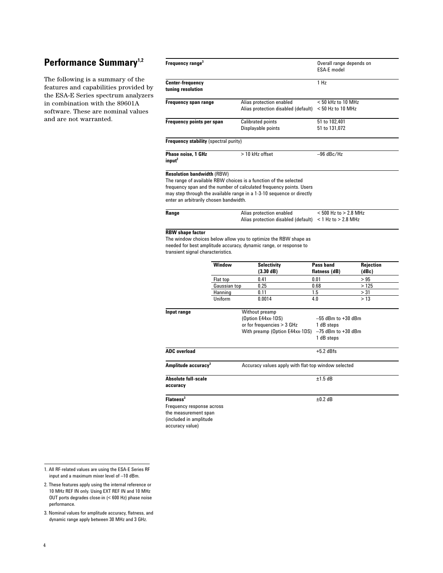# Performance Summary<sup>1,2</sup>

The following is a summary of the features and capabilities provided by the ESA-E Series spectrum analyzers in combination with the 89601A software. These are nominal values and are not warranted.

| Frequency range <sup>3</sup>                                 |                    |                                                                                                                                      | Overall range depends on<br><b>ESA-E</b> model |              |
|--------------------------------------------------------------|--------------------|--------------------------------------------------------------------------------------------------------------------------------------|------------------------------------------------|--------------|
| <b>Center-frequency</b><br>tuning resolution                 |                    |                                                                                                                                      | 1 H <sub>z</sub>                               |              |
| <b>Frequency span range</b>                                  |                    | Alias protection enabled                                                                                                             | $< 50$ kHz to 10 MHz                           |              |
|                                                              |                    | Alias protection disabled (default)                                                                                                  | $<$ 50 Hz to 10 MHz                            |              |
| Frequency points per span                                    |                    | <b>Calibrated points</b>                                                                                                             | 51 to 102,401                                  |              |
|                                                              |                    | Displayable points                                                                                                                   | 51 to 131,072                                  |              |
| <b>Frequency stability (spectral purity)</b>                 |                    |                                                                                                                                      |                                                |              |
| Phase noise. 1 GHz<br>input <sup>2</sup>                     |                    | $>10$ kHz offset                                                                                                                     | $-96$ dBc/Hz                                   |              |
| enter an arbitrarily chosen bandwidth.<br>Range              |                    | Alias protection enabled<br>Alias protection disabled (default) $<$ 1 Hz to $>$ 2.8 MHz                                              | $< 500$ Hz to $> 2.8$ MHz                      |              |
|                                                              |                    | The window choices below allow you to optimize the RBW shape as<br>needed for best amplitude accuracy, dynamic range, or response to |                                                |              |
|                                                              | Window             | <b>Selectivity</b>                                                                                                                   | Pass band                                      | Rejection    |
| <b>RBW</b> shape factor<br>transient signal characteristics. |                    | $(3.30 \text{ dB})$                                                                                                                  | flatness (dB)                                  | (dBc)        |
|                                                              | Flat top           | 0.41                                                                                                                                 | 0.01                                           | >95          |
|                                                              | Gaussian top       | 0.25                                                                                                                                 | 0.68                                           | >125         |
|                                                              | Hanning<br>Uniform | 0.11<br>0.0014                                                                                                                       | 1.5<br>4.0                                     | > 31<br>> 13 |
| Input range                                                  |                    | Without preamp                                                                                                                       |                                                |              |
|                                                              |                    | (Option E44xx-1DS)                                                                                                                   | $-55$ dBm to $+30$ dBm                         |              |
|                                                              |                    | or for frequencies > 3 GHz                                                                                                           | 1 dB steps                                     |              |
|                                                              |                    | With preamp (Option E44xx-1DS) $-75$ dBm to +30 dBm                                                                                  | 1 dB steps                                     |              |
| <b>ADC</b> overload                                          |                    |                                                                                                                                      | $+5.2$ dBfs                                    |              |
| Amplitude accuracy <sup>3</sup>                              |                    | Accuracy values apply with flat-top window selected                                                                                  |                                                |              |
| <b>Absolute full-scale</b>                                   |                    |                                                                                                                                      | ±1.5dB                                         |              |
|                                                              |                    |                                                                                                                                      |                                                |              |
| accuracy<br>Flatness <sup>3</sup>                            |                    |                                                                                                                                      | $±0.2$ dB                                      |              |
| Frequency response across                                    |                    |                                                                                                                                      |                                                |              |
| the measurement span<br>(included in amplitude               |                    |                                                                                                                                      |                                                |              |

1. All RF-related values are using the ESA-E Series RF input and a maximum mixer level of –10 dBm.

2. These features apply using the internal reference or 10 MHz REF IN only. Using EXT REF IN and 10 MHz OUT ports degrades close-in (< 600 Hz) phase noise performance.

3. Nominal values for amplitude accuracy, flatness, and dynamic range apply between 30 MHz and 3 GHz.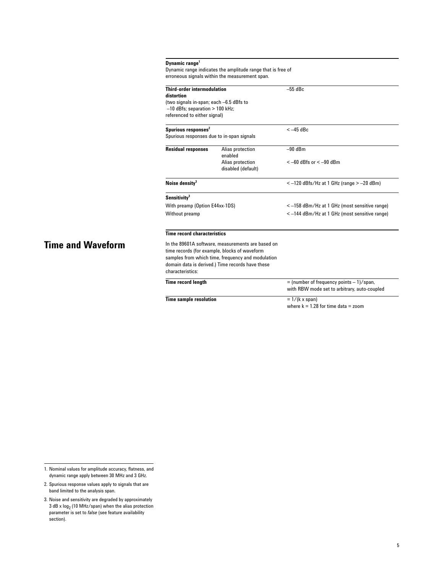| Dynamic range <sup>1</sup>                                  |  |
|-------------------------------------------------------------|--|
| Dynamic range indicates the amplitude range that is free of |  |
| erroneous signals within the measurement span.              |  |

| <b>Third-order intermodulation</b><br>distortion<br>(two signals in-span; each -6.5 dBfs to<br>$-10$ dBfs; separation $> 100$ kHz;<br>referenced to either signal) |                                                                                                                                                                                                             | $-55$ dBc                                                                                    |  |
|--------------------------------------------------------------------------------------------------------------------------------------------------------------------|-------------------------------------------------------------------------------------------------------------------------------------------------------------------------------------------------------------|----------------------------------------------------------------------------------------------|--|
|                                                                                                                                                                    |                                                                                                                                                                                                             |                                                                                              |  |
|                                                                                                                                                                    |                                                                                                                                                                                                             |                                                                                              |  |
| Spurious responses <sup>2</sup><br>Spurious responses due to in-span signals                                                                                       |                                                                                                                                                                                                             | $<-45$ dBc                                                                                   |  |
| <b>Residual responses</b>                                                                                                                                          | Alias protection<br>enabled                                                                                                                                                                                 | $-90$ dBm                                                                                    |  |
|                                                                                                                                                                    | Alias protection<br>disabled (default)                                                                                                                                                                      | $<-60$ dBfs or $<-90$ dBm                                                                    |  |
| Noise density <sup>3</sup>                                                                                                                                         |                                                                                                                                                                                                             | $<-120$ dBfs/Hz at 1 GHz (range $>-20$ dBm)                                                  |  |
| Sensitivity <sup>3</sup>                                                                                                                                           |                                                                                                                                                                                                             |                                                                                              |  |
| With preamp (Option E44xx-1DS)                                                                                                                                     |                                                                                                                                                                                                             | <-158 dBm/Hz at 1 GHz (most sensitive range)                                                 |  |
| Without preamp                                                                                                                                                     |                                                                                                                                                                                                             | <-144 dBm/Hz at 1 GHz (most sensitive range)                                                 |  |
| <b>Time record characteristics</b>                                                                                                                                 |                                                                                                                                                                                                             |                                                                                              |  |
| characteristics:                                                                                                                                                   | In the 89601A software, measurements are based on<br>time records (for example, blocks of waveform<br>samples from which time, frequency and modulation<br>domain data is derived.) Time records have these |                                                                                              |  |
| <b>Time record length</b>                                                                                                                                          |                                                                                                                                                                                                             | $=$ (number of frequency points $-1$ )/span,<br>with RBW mode set to arbitrary, auto-coupled |  |
| <b>Time sample resolution</b>                                                                                                                                      |                                                                                                                                                                                                             | $= 1/(k \times span)$                                                                        |  |
|                                                                                                                                                                    |                                                                                                                                                                                                             | where $k = 1.28$ for time data = zoom                                                        |  |

# **Time and Waveform**

1. Nominal values for amplitude accuracy, flatness, and dynamic range apply between 30 MHz and 3 GHz.

- 2. Spurious response values apply to signals that are band limited to the analysis span.
- 3. Noise and sensitivity are degraded by approximately  $3$  dB x  $log_2$  (10 MHz/span) when the alias protection parameter is set to *false* (see feature availability section).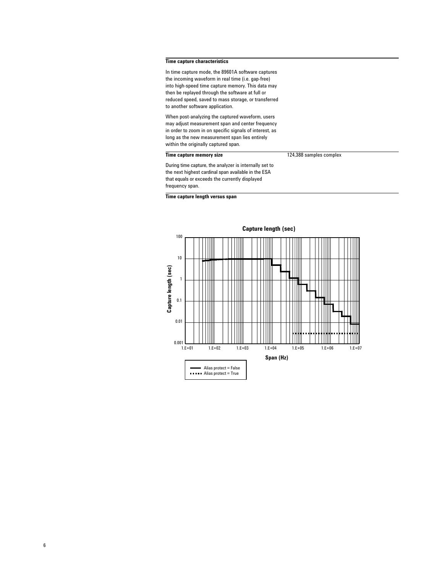#### **Time capture characteristics**

In time capture mode, the 89601A software captures the incoming waveform in real time (i.e. gap-free) into high-speed time capture memory. This data may then be replayed through the software at full or reduced speed, saved to mass storage, or transferred to another software application.

When post-analyzing the captured waveform, users may adjust measurement span and center frequency in order to zoom in on specific signals of interest, as long as the new measurement span lies entirely within the originally captured span.

#### **Time capture memory size 124,388 samples complex**

During time capture, the analyzer is internally set to the next highest cardinal span available in the ESA that equals or exceeds the currently displayed frequency span.

**Time capture length versus span**

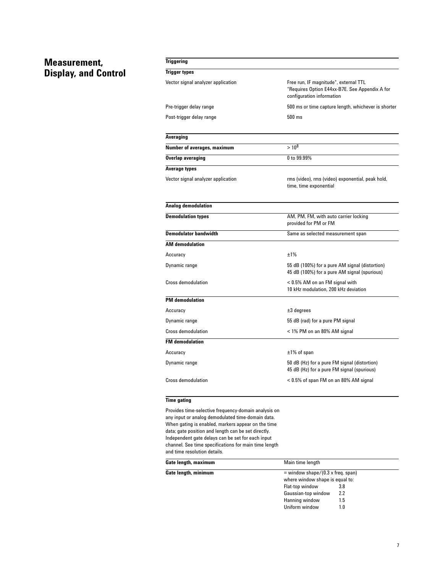# **Measurement, Display, and Control**

| <b>Triggering</b>                  |                                                                                                                      |
|------------------------------------|----------------------------------------------------------------------------------------------------------------------|
| <b>Trigger types</b>               |                                                                                                                      |
| Vector signal analyzer application | Free run, IF magnitude*, external TTL<br>*Requires Option E44xx-B7E. See Appendix A for<br>configuration information |
| Pre-trigger delay range            | 500 ms or time capture length, whichever is shorter                                                                  |
| Post-trigger delay range           | $500$ ms                                                                                                             |
| Averaging                          |                                                                                                                      |
| Number of averages, maximum        | $>10^8$                                                                                                              |
| Overlap averaging                  | 0 to 99.99%                                                                                                          |
| Average types                      |                                                                                                                      |
| Vector signal analyzer application | rms (video), rms (video) exponential, peak hold,<br>time, time exponential                                           |
| Analog demodulation                |                                                                                                                      |
| <b>Demodulation types</b>          | AM, PM, FM, with auto carrier locking<br>provided for PM or FM                                                       |
| <b>Demodulator bandwidth</b>       | Same as selected measurement span                                                                                    |
| <b>AM</b> demodulation             |                                                                                                                      |
| Accuracy                           | ±1%                                                                                                                  |
| Dynamic range                      | 55 dB (100%) for a pure AM signal (distortion)<br>45 dB (100%) for a pure AM signal (spurious)                       |
| <b>Cross demodulation</b>          | < 0.5% AM on an FM signal with<br>10 kHz modulation, 200 kHz deviation                                               |
| <b>PM</b> demodulation             |                                                                                                                      |
| Accuracy                           | $\pm 3$ degrees                                                                                                      |
| Dynamic range                      | 55 dB (rad) for a pure PM signal                                                                                     |
| Cross demodulation                 | < 1% PM on an 80% AM signal                                                                                          |
| <b>FM</b> demodulation             |                                                                                                                      |
| Accuracy                           | $±1\%$ of span                                                                                                       |
| Dynamic range                      | 50 dB (Hz) for a pure FM signal (distortion)<br>45 dB (Hz) for a pure FM signal (spurious)                           |
| <b>Cross demodulation</b>          | < 0.5% of span FM on an 80% AM signal                                                                                |

### **Time gating**

Provides time-selective frequency-domain analysis on any input or analog demodulated time-domain data. When gating is enabled, markers appear on the time data; gate position and length can be set directly. Independent gate delays can be set for each input channel. See time specifications for main time length and time resolution details.

| Gate length, maximum | Main time length                    |  |
|----------------------|-------------------------------------|--|
| Gate length, minimum | $=$ window shape/(0.3 x freq. span) |  |
|                      | where window shape is equal to:     |  |
|                      | Flat-top window<br>3.8              |  |
|                      | Gaussian-top window<br>2.2          |  |
|                      | Hanning window<br>1.5               |  |
|                      | Uniform window<br>1.0               |  |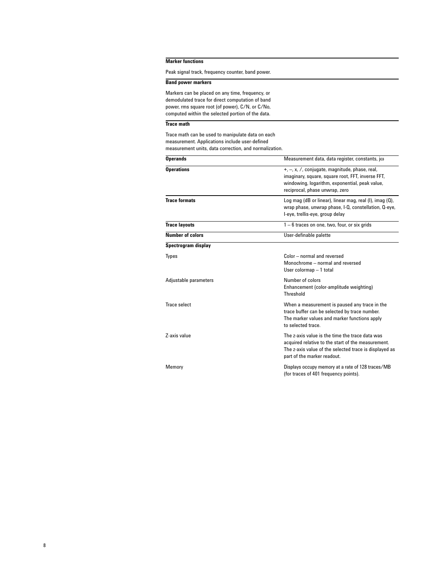### **Marker functions**

Peak signal track, frequency counter, band power.

#### **Band power markers**

Markers can be placed on any time, frequency, or demodulated trace for direct computation of band power, rms square root (of power), C/N, or C/No, computed within the selected portion of the data.

### **Trace math**

Trace math can be used to manipulate data on each measurement. Applications include user-defined measurement units, data correction, and normalization.

| <b>Operands</b>         | Measurement data, data register, constants, jo                                                                                                                                                   |
|-------------------------|--------------------------------------------------------------------------------------------------------------------------------------------------------------------------------------------------|
| <b>Operations</b>       | $+$ , $-$ , x, $/$ , conjugate, magnitude, phase, real,<br>imaginary, square, square root, FFT, inverse FFT,<br>windowing, logarithm, exponential, peak value,<br>reciprocal, phase unwrap, zero |
| <b>Trace formats</b>    | Log mag (dB or linear), linear mag, real (I), imag (Q),<br>wrap phase, unwrap phase, I-Q, constellation, Q-eye,<br>I-eye, trellis-eye, group delay                                               |
| <b>Trace layouts</b>    | $1 - 6$ traces on one, two, four, or six grids                                                                                                                                                   |
| <b>Number of colors</b> | User-definable palette                                                                                                                                                                           |
| Spectrogram display     |                                                                                                                                                                                                  |
| <b>Types</b>            | Color - normal and reversed<br>Monochrome - normal and reversed<br>User colormap - 1 total                                                                                                       |
| Adjustable parameters   | Number of colors<br>Enhancement (color-amplitude weighting)<br>Threshold                                                                                                                         |
| Trace select            | When a measurement is paused any trace in the<br>trace buffer can be selected by trace number.<br>The marker values and marker functions apply<br>to selected trace                              |
| <b>7-axis value</b>     | The z-axis value is the time the trace data was<br>acquired relative to the start of the measurement.<br>The z-axis value of the selected trace is displayed as<br>part of the marker readout.   |
| Memory                  | Displays occupy memory at a rate of 128 traces/MB<br>(for traces of 401 frequency points).                                                                                                       |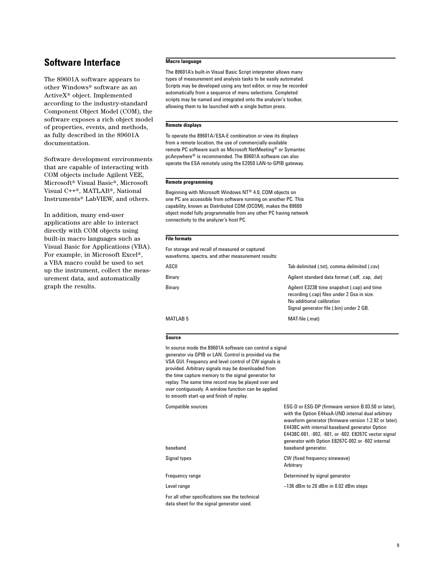# **Software Interface**

The 89601A software appears to other Windows® software as an ActiveX® object. Implemented according to the industry-standard Component Object Model (COM), the software exposes a rich object model of properties, events, and methods, as fully described in the 89601A documentation.

Software development environments that are capable of interacting with COM objects include Agilent VEE, Microsoft® Visual Basic®, Microsoft Visual C++®, MATLAB®, National Instruments® LabVIEW, and others.

In addition, many end-user applications are able to interact directly with COM objects using built-in macro languages such as Visual Basic for Applications (VBA). For example, in Microsoft Excel®, a VBA macro could be used to set up the instrument, collect the measurement data, and automatically graph the results.

#### **Macro language**

The 89601A's built-in Visual Basic Script interpreter allows many types of measurement and analysis tasks to be easily automated. Scripts may be developed using any text editor, or may be recorded automatically from a sequence of menu selections. Completed scripts may be named and integrated onto the analyzer's toolbar, allowing them to be launched with a single button press.

#### **Remote displays**

To operate the 89601A/ESA-E combination or view its displays from a remote location, the use of commercially-available remote PC software such as Microsoft NetMeeting® or Symantec pcAnywhere® is recommended. The 89601A software can also operate the ESA remotely using the E2050 LAN-to-GPIB gateway.

#### **Remote programming**

Beginning with Microsoft Windows NT® 4.0, COM objects on one PC are accessible from software running on another PC. This capability, known as Distributed COM (DCOM), makes the 89600 object model fully programmable from any other PC having network connectivity to the analyzer's host PC.

#### **File formats**

For storage and recall of measured or captured waveforms, spectra, and other measurement results:

| Binary   | Agilent standard data format (.sdf, .cap, .dat)                                                                                                                     |
|----------|---------------------------------------------------------------------------------------------------------------------------------------------------------------------|
| Binary   | Agilent E3238 time snapshot (.cap) and time<br>recording (.cap) files under 2 Gsa in size.<br>No additional calibration<br>Signal generator file (.bin) under 2 GB. |
| MATLAB 5 | MAT-file (.mat)                                                                                                                                                     |

#### **Source**

In source mode the 89601A software can control a signal generator via GPIB or LAN. Control is provided via the VSA GUI. Frequency and level control of CW signals is provided. Arbitrary signals may be downloaded from the time capture memory to the signal generator for replay. The same time record may be played over and over contiguously. A window function can be applied to smooth start-up and finish of replay.

Compatible sources ESG-D or ESG-DP (firmware version B.03.50 or later),

| baseband                                                                                    | with the Option E44xxA-UND internal dual arbitrary<br>waveform generator (firmware version 1.2.92 or later).<br>E4438C with internal baseband generator Option<br>E4438C-001, -002, -601, or -602. E8267C vector signal<br>generator with Option E8267C-002 or -602 internal |
|---------------------------------------------------------------------------------------------|------------------------------------------------------------------------------------------------------------------------------------------------------------------------------------------------------------------------------------------------------------------------------|
|                                                                                             | baseband generator.                                                                                                                                                                                                                                                          |
| Signal types                                                                                | CW (fixed frequency sinewave)<br>Arbitrary                                                                                                                                                                                                                                   |
| Frequency range                                                                             | Determined by signal generator                                                                                                                                                                                                                                               |
| Level range                                                                                 | $-136$ dBm to 20 dBm in 0.02 dBm steps                                                                                                                                                                                                                                       |
| For all other specifications see the technical<br>data sheet for the signal generator used. |                                                                                                                                                                                                                                                                              |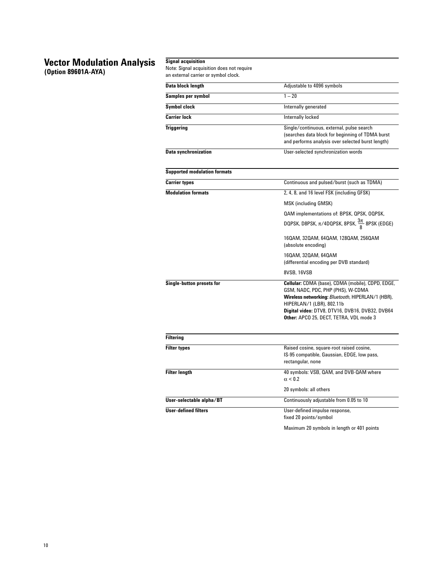# **Vector Modulation Analysis**

**(Option 89601A-AYA)**

# **Signal acquisition** Note: Signal acquisition does not require an external carrier or symbol clock. **Data block length** Adjustable to 4096 symbols **Samples per symbol** 1 – 20 **Symbol clock** Internally generated **Carrier lock** Internally locked **Triggering** Single/continuous, external, pulse search

|                                     | (searches data block for beginning of TDMA burst<br>and performs analysis over selected burst length)                                                                                                                                                                  |
|-------------------------------------|------------------------------------------------------------------------------------------------------------------------------------------------------------------------------------------------------------------------------------------------------------------------|
| <b>Data synchronization</b>         | User-selected synchronization words                                                                                                                                                                                                                                    |
| <b>Supported modulation formats</b> |                                                                                                                                                                                                                                                                        |
| <b>Carrier types</b>                | Continuous and pulsed/burst (such as TDMA)                                                                                                                                                                                                                             |
| <b>Modulation formats</b>           | 2, 4, 8, and 16 level FSK (including GFSK)                                                                                                                                                                                                                             |
|                                     | <b>MSK (including GMSK)</b>                                                                                                                                                                                                                                            |
|                                     | QAM implementations of: BPSK, QPSK, OQPSK,                                                                                                                                                                                                                             |
|                                     | DQPSK, D8PSK, $\pi$ /4DQPSK, 8PSK, $\frac{3\pi}{8}$ 8PSK (EDGE)                                                                                                                                                                                                        |
|                                     | 160AM, 320AM, 640AM, 1280AM, 2560AM<br>(absolute encoding)                                                                                                                                                                                                             |
|                                     | 160AM, 320AM, 640AM<br>(differential encoding per DVB standard)                                                                                                                                                                                                        |
|                                     | 8VSB, 16VSB                                                                                                                                                                                                                                                            |
| Single-button presets for           | Cellular: CDMA (base), CDMA (mobile), CDPD, EDGE,<br>GSM, NADC, PDC, PHP (PHS), W-CDMA<br>Wireless networking: Bluetooth, HIPERLAN/1 (HBR),<br>HIPERLAN/1 (LBR), 802.11b<br>Digital video: DTV8, DTV16, DVB16, DVB32, DVB64<br>Other: APCO 25, DECT, TETRA, VDL mode 3 |
| <b>Filtering</b>                    |                                                                                                                                                                                                                                                                        |
| <b>Filter types</b>                 | Raised cosine, square-root raised cosine,<br>IS-95 compatible, Gaussian, EDGE, low pass,<br>rectangular, none                                                                                                                                                          |
| <b>Filter length</b>                | 40 symbols: VSB, QAM, and DVB-QAM where<br>$\alpha$ < 0.2                                                                                                                                                                                                              |
|                                     | 20 symbols: all others                                                                                                                                                                                                                                                 |
| User-selectable alpha/BT            | Continuously adjustable from 0.05 to 10                                                                                                                                                                                                                                |
| <b>User-defined filters</b>         | User-defined impulse response,<br>fixed 20 points/symbol                                                                                                                                                                                                               |
|                                     | Maximum 20 symbols in length or 401 points                                                                                                                                                                                                                             |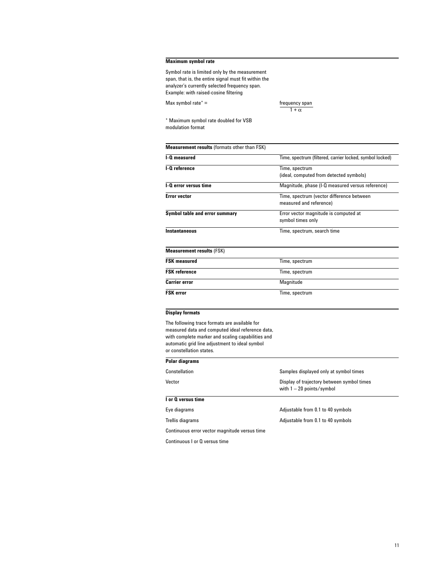#### **Maximum symbol rate**

Symbol rate is limited only by the measurement span, that is, the entire signal must fit within the analyzer's currently selected frequency span. Example: with raised-cosine filtering

Max symbol rate\* = frequency span

 $1 + \alpha$ 

\* Maximum symbol rate doubled for VSB modulation format

| <b>Measurement results (formats other than FSK)</b> |                                                          |
|-----------------------------------------------------|----------------------------------------------------------|
| I-Q measured                                        | Time, spectrum (filtered, carrier locked, symbol locked) |
| I-Q reference                                       | Time, spectrum                                           |
|                                                     | (ideal, computed from detected symbols)                  |
| <b>I-O error versus time</b>                        | Magnitude, phase (I-Q measured versus reference)         |
| <b>Error vector</b>                                 | Time, spectrum (vector difference between                |
|                                                     | measured and reference)                                  |
| Symbol table and error summary                      | Error vector magnitude is computed at                    |
|                                                     | symbol times only                                        |
| <b>Instantaneous</b>                                | Time, spectrum, search time                              |
| <b>Measurement results (FSK)</b>                    |                                                          |
| <b>FSK measured</b>                                 | Time, spectrum                                           |
| <b>FSK</b> reference                                | Time, spectrum                                           |
| Carrier error                                       | Magnitude                                                |

#### **Display formats**

The following trace formats are available for measured data and computed ideal reference data, with complete marker and scaling capabilities and automatic grid line adjustment to ideal symbol or constellation states.

**FSK error** Time, spectrum

| טטאט ווטגטווענוטון שנענטט.                    |                                                                           |
|-----------------------------------------------|---------------------------------------------------------------------------|
| Polar diagrams                                |                                                                           |
| Constellation                                 | Samples displayed only at symbol times                                    |
| Vector                                        | Display of trajectory between symbol times<br>with $1 - 20$ points/symbol |
| I or Q versus time                            |                                                                           |
| Eye diagrams                                  | Adjustable from 0.1 to 40 symbols                                         |
| Trellis diagrams                              | Adjustable from 0.1 to 40 symbols                                         |
| Continuous error vector magnitude versus time |                                                                           |

Continuous I or Q versus time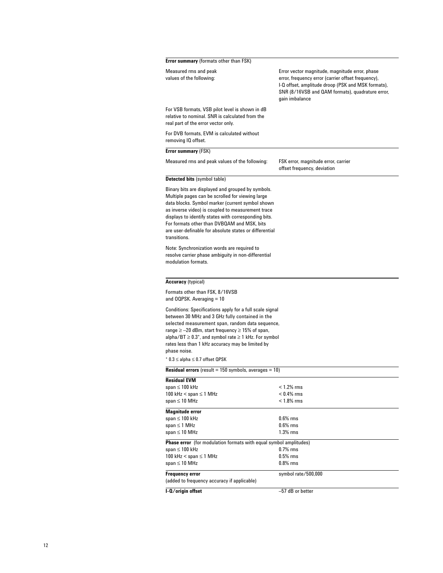| Error summary (formats other than FSK)                                                                                                                                                                                                                                                                                                                                                                                       |                                                                                                                                                                                                                                  |
|------------------------------------------------------------------------------------------------------------------------------------------------------------------------------------------------------------------------------------------------------------------------------------------------------------------------------------------------------------------------------------------------------------------------------|----------------------------------------------------------------------------------------------------------------------------------------------------------------------------------------------------------------------------------|
| Measured rms and peak<br>values of the following:                                                                                                                                                                                                                                                                                                                                                                            | Error vector magnitude, magnitude error, phase<br>error, frequency error (carrier offset frequency),<br>I-Q offset, amplitude droop (PSK and MSK formats),<br>SNR (8/16VSB and QAM formats), quadrature error,<br>gain imbalance |
| For VSB formats, VSB pilot level is shown in dB<br>relative to nominal. SNR is calculated from the<br>real part of the error vector only.                                                                                                                                                                                                                                                                                    |                                                                                                                                                                                                                                  |
| For DVB formats. EVM is calculated without<br>removing IQ offset.                                                                                                                                                                                                                                                                                                                                                            |                                                                                                                                                                                                                                  |
| Error summary (FSK)                                                                                                                                                                                                                                                                                                                                                                                                          |                                                                                                                                                                                                                                  |
| Measured rms and peak values of the following:                                                                                                                                                                                                                                                                                                                                                                               | FSK error, magnitude error, carrier<br>offset frequency, deviation                                                                                                                                                               |
| <b>Detected bits (symbol table)</b>                                                                                                                                                                                                                                                                                                                                                                                          |                                                                                                                                                                                                                                  |
| Binary bits are displayed and grouped by symbols.<br>Multiple pages can be scrolled for viewing large<br>data blocks. Symbol marker (current symbol shown<br>as inverse video) is coupled to measurement trace<br>displays to identify states with corresponding bits.<br>For formats other than DVBQAM and MSK, bits<br>are user-definable for absolute states or differential<br>transitions.                              |                                                                                                                                                                                                                                  |
| Note: Synchronization words are required to<br>resolve carrier phase ambiguity in non-differential<br>modulation formats.                                                                                                                                                                                                                                                                                                    |                                                                                                                                                                                                                                  |
| <b>Accuracy (typical)</b>                                                                                                                                                                                                                                                                                                                                                                                                    |                                                                                                                                                                                                                                  |
| Formats other than FSK, 8/16VSB<br>and OQPSK. Averaging $= 10$                                                                                                                                                                                                                                                                                                                                                               |                                                                                                                                                                                                                                  |
| Conditions: Specifications apply for a full scale signal<br>between 30 MHz and 3 GHz fully contained in the<br>selected measurement span, random data sequence,<br>range $\ge$ -20 dBm, start frequency $\ge$ 15% of span,<br>alpha/BT $\geq$ 0.3 <sup>*</sup> , and symbol rate $\geq$ 1 kHz. For symbol<br>rates less than 1 kHz accuracy may be limited by<br>phase noise.<br>$*$ 0.3 $\leq$ alpha $\leq$ 0.7 offset QPSK |                                                                                                                                                                                                                                  |
| <b>Residual errors</b> (result $= 150$ symbols, averages $= 10$ )                                                                                                                                                                                                                                                                                                                                                            |                                                                                                                                                                                                                                  |
| <b>Residual EVM</b>                                                                                                                                                                                                                                                                                                                                                                                                          |                                                                                                                                                                                                                                  |
| span $\leq 100$ kHz                                                                                                                                                                                                                                                                                                                                                                                                          | $< 1.2\%$ rms                                                                                                                                                                                                                    |
| 100 kHz < span $\leq$ 1 MHz<br>span $\leq 10$ MHz                                                                                                                                                                                                                                                                                                                                                                            | $< 0.4\%$ rms<br>$< 1.8\%$ rms                                                                                                                                                                                                   |
| <b>Magnitude error</b>                                                                                                                                                                                                                                                                                                                                                                                                       |                                                                                                                                                                                                                                  |
| span $\leq 100$ kHz                                                                                                                                                                                                                                                                                                                                                                                                          | $0.6\%$ rms                                                                                                                                                                                                                      |
| span $\leq$ 1 MHz<br>span $\leq 10$ MHz                                                                                                                                                                                                                                                                                                                                                                                      | $0.6\%$ rms<br>1.3% rms                                                                                                                                                                                                          |
|                                                                                                                                                                                                                                                                                                                                                                                                                              |                                                                                                                                                                                                                                  |
| <b>Phase error</b> (for modulation formats with equal symbol amplitudes)<br>span $\leq 100$ kHz                                                                                                                                                                                                                                                                                                                              | $0.7\%$ rms                                                                                                                                                                                                                      |
| 100 kHz $<$ span $\leq$ 1 MHz                                                                                                                                                                                                                                                                                                                                                                                                | $0.5\%$ rms                                                                                                                                                                                                                      |
| span $\leq 10$ MHz                                                                                                                                                                                                                                                                                                                                                                                                           | $0.8\%$ rms                                                                                                                                                                                                                      |
| <b>Frequency error</b>                                                                                                                                                                                                                                                                                                                                                                                                       | symbol rate/500,000                                                                                                                                                                                                              |
| (added to frequency accuracy if applicable)                                                                                                                                                                                                                                                                                                                                                                                  |                                                                                                                                                                                                                                  |
| I-O/origin offset                                                                                                                                                                                                                                                                                                                                                                                                            | -57 dB or better                                                                                                                                                                                                                 |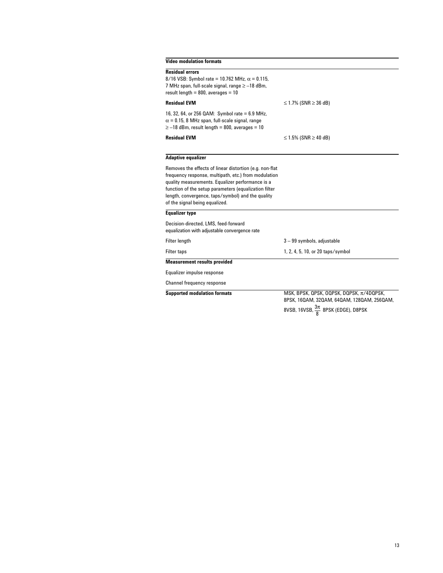# **Video modulation formats**

| video modulation formats                                                                                                                                                                                                                                                                                            |                                                                                             |
|---------------------------------------------------------------------------------------------------------------------------------------------------------------------------------------------------------------------------------------------------------------------------------------------------------------------|---------------------------------------------------------------------------------------------|
| <b>Residual errors</b><br>8/16 VSB: Symbol rate = 10.762 MHz, $\alpha$ = 0.115,<br>7 MHz span, full-scale signal, range ≥ -18 dBm,<br>result length = $800$ , averages = $10$                                                                                                                                       |                                                                                             |
| <b>Residual EVM</b>                                                                                                                                                                                                                                                                                                 | ≤ 1.7% (SNR ≥ 36 dB)                                                                        |
| 16, 32, 64, or 256 QAM: Symbol rate = 6.9 MHz,<br>$\alpha$ = 0.15, 8 MHz span, full-scale signal, range<br>$\ge$ -18 dBm, result length = 800, averages = 10                                                                                                                                                        |                                                                                             |
| <b>Residual EVM</b>                                                                                                                                                                                                                                                                                                 | ≤ 1.5% (SNR ≥ 40 dB)                                                                        |
| <b>Adaptive equalizer</b>                                                                                                                                                                                                                                                                                           |                                                                                             |
| Removes the effects of linear distortion (e.g. non-flat<br>frequency response, multipath, etc.) from modulation<br>quality measurements. Equalizer performance is a<br>function of the setup parameters (equalization filter<br>length, convergence, taps/symbol) and the quality<br>of the signal being equalized. |                                                                                             |
| <b>Equalizer type</b>                                                                                                                                                                                                                                                                                               |                                                                                             |
| Decision-directed, LMS, feed-forward<br>equalization with adjustable convergence rate                                                                                                                                                                                                                               |                                                                                             |
| Filter length                                                                                                                                                                                                                                                                                                       | 3-99 symbols, adjustable                                                                    |
| <b>Filter taps</b>                                                                                                                                                                                                                                                                                                  | 1, 2, 4, 5, 10, or 20 taps/symbol                                                           |
| <b>Measurement results provided</b>                                                                                                                                                                                                                                                                                 |                                                                                             |
| Equalizer impulse response                                                                                                                                                                                                                                                                                          |                                                                                             |
| Channel frequency response                                                                                                                                                                                                                                                                                          |                                                                                             |
| <b>Supported modulation formats</b>                                                                                                                                                                                                                                                                                 | MSK. BPSK. QPSK. OQPSK. DQPSK. $\pi$ /4DQPSK.<br>8PSK, 16QAM, 32QAM, 64QAM, 128QAM, 256QAM, |

8VSB, 16VSB,  $\frac{3\pi}{8}$  8PSK (EDGE), D8PSK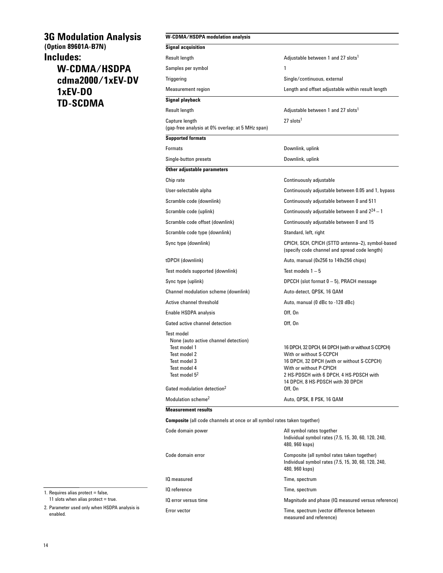# **3G Modulation Analysis (Option 89601A-B7N) Includes: W-CDMA/HSDPA**

**cdma2000/1xEV-DV 1xEV-DO TD-SCDMA**

### **W-CDMA/HSDPA modulation analysis**

| <b>Signal acquisition</b>                                                                                                                                                                         |                                                                                                                                                                                                                                                   |
|---------------------------------------------------------------------------------------------------------------------------------------------------------------------------------------------------|---------------------------------------------------------------------------------------------------------------------------------------------------------------------------------------------------------------------------------------------------|
| Result length                                                                                                                                                                                     | Adjustable between 1 and 27 slots <sup>1</sup>                                                                                                                                                                                                    |
| Samples per symbol                                                                                                                                                                                | 1                                                                                                                                                                                                                                                 |
| Triggering                                                                                                                                                                                        | Single/continuous, external                                                                                                                                                                                                                       |
| <b>Measurement region</b>                                                                                                                                                                         | Length and offset adjustable within result length                                                                                                                                                                                                 |
| Signal playback                                                                                                                                                                                   |                                                                                                                                                                                                                                                   |
| Result length                                                                                                                                                                                     | Adjustable between 1 and 27 slots <sup>1</sup>                                                                                                                                                                                                    |
| Capture length<br>(gap-free analysis at 0% overlap; at 5 MHz span)                                                                                                                                | $27$ slots <sup>1</sup>                                                                                                                                                                                                                           |
| <b>Supported formats</b>                                                                                                                                                                          |                                                                                                                                                                                                                                                   |
| <b>Formats</b>                                                                                                                                                                                    | Downlink, uplink                                                                                                                                                                                                                                  |
| Single-button presets                                                                                                                                                                             | Downlink, uplink                                                                                                                                                                                                                                  |
| Other adjustable parameters                                                                                                                                                                       |                                                                                                                                                                                                                                                   |
| Chip rate                                                                                                                                                                                         | Continuously adjustable                                                                                                                                                                                                                           |
| User-selectable alpha                                                                                                                                                                             | Continuously adjustable between 0.05 and 1, bypass                                                                                                                                                                                                |
| Scramble code (downlink)                                                                                                                                                                          | Continuously adjustable between 0 and 511                                                                                                                                                                                                         |
| Scramble code (uplink)                                                                                                                                                                            | Continuously adjustable between 0 and $2^{24} - 1$                                                                                                                                                                                                |
| Scramble code offset (downlink)                                                                                                                                                                   | Continuously adjustable between 0 and 15                                                                                                                                                                                                          |
| Scramble code type (downlink)                                                                                                                                                                     | Standard, left, right                                                                                                                                                                                                                             |
| Sync type (downlink)                                                                                                                                                                              | CPICH, SCH, CPICH (STTD antenna-2), symbol-based<br>(specify code channel and spread code length)                                                                                                                                                 |
| tDPCH (downlink)                                                                                                                                                                                  | Auto, manual (0x256 to 149x256 chips)                                                                                                                                                                                                             |
| Test models supported (downlink)                                                                                                                                                                  | Test models $1-5$                                                                                                                                                                                                                                 |
| Sync type (uplink)                                                                                                                                                                                | DPCCH (slot format 0 - 5), PRACH message                                                                                                                                                                                                          |
| Channel modulation scheme (downlink)                                                                                                                                                              | Auto-detect, QPSK, 16 QAM                                                                                                                                                                                                                         |
| Active channel threshold                                                                                                                                                                          | Auto, manual (0 dBc to -120 dBc)                                                                                                                                                                                                                  |
| Enable HSDPA analysis                                                                                                                                                                             | Off, On                                                                                                                                                                                                                                           |
| Gated active channel detection                                                                                                                                                                    | Off. On                                                                                                                                                                                                                                           |
| <b>Test model</b><br>None (auto active channel detection)<br>Test model 1<br>Test model 2<br>Test model 3<br>Test model 4<br>Test model 5 <sup>2</sup><br>Gated modulation detection <sup>2</sup> | 16 DPCH, 32 DPCH, 64 DPCH (with or without S-CCPCH)<br>With or without S-CCPCH<br>16 DPCH, 32 DPCH (with or without S-CCPCH)<br>With or without P-CPICH<br>2 HS-PDSCH with 6 DPCH, 4 HS-PDSCH with<br>14 DPCH, 8 HS-PDSCH with 30 DPCH<br>Off, On |
| Modulation scheme <sup>2</sup>                                                                                                                                                                    | Auto, QPSK, 8 PSK, 16 QAM                                                                                                                                                                                                                         |
| <b>Measurement results</b>                                                                                                                                                                        |                                                                                                                                                                                                                                                   |

**Composite** (all code channels at once or all symbol rates taken together)

| Code domain power    | All symbol rates together<br>Individual symbol rates (7.5, 15, 30, 60, 120, 240,<br>480, 960 ksps)                   |
|----------------------|----------------------------------------------------------------------------------------------------------------------|
| Code domain error    | Composite (all symbol rates taken together)<br>Individual symbol rates (7.5, 15, 30, 60, 120, 240,<br>480, 960 ksps) |
| IQ measured          | Time, spectrum                                                                                                       |
| IQ reference         | Time, spectrum                                                                                                       |
| IQ error versus time | Magnitude and phase (IQ measured versus reference)                                                                   |
| Error vector         | Time, spectrum (vector difference between<br>measured and reference)                                                 |

1. Requires alias protect = false, 11 slots when alias protect  $=$  true.

2. Parameter used only when HSDPA analysis is enabled.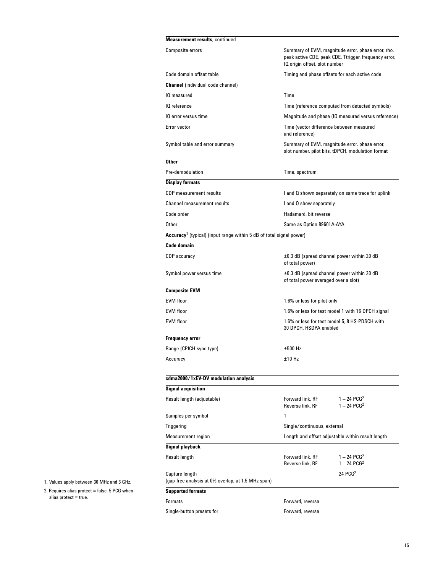| <b>Measurement results, continued</b>                                           |                                                                                                                                              |
|---------------------------------------------------------------------------------|----------------------------------------------------------------------------------------------------------------------------------------------|
| <b>Composite errors</b>                                                         | Summary of EVM, magnitude error, phase error, rho,<br>peak active CDE, peak CDE, Ttrigger, frequency error,<br>IQ origin offset, slot number |
| Code domain offset table                                                        | Timing and phase offsets for each active code                                                                                                |
| <b>Channel</b> (individual code channel)                                        |                                                                                                                                              |
| IQ measured                                                                     | Time                                                                                                                                         |
| IQ reference                                                                    | Time (reference computed from detected symbols)                                                                                              |
| IQ error versus time                                                            | Magnitude and phase (IQ measured versus reference)                                                                                           |
| Error vector                                                                    | Time (vector difference between measured<br>and reference)                                                                                   |
| Symbol table and error summary                                                  | Summary of EVM, magnitude error, phase error,<br>slot number, pilot bits, tDPCH, modulation format                                           |
| <b>Other</b>                                                                    |                                                                                                                                              |
| Pre-demodulation                                                                | Time, spectrum                                                                                                                               |
| <b>Display formats</b>                                                          |                                                                                                                                              |
| <b>CDP</b> measurement results                                                  | I and Q shown separately on same trace for uplink                                                                                            |
| <b>Channel measurement results</b>                                              | I and Q show separately                                                                                                                      |
| Code order                                                                      | Hadamard, bit reverse                                                                                                                        |
| Other                                                                           | Same as Option 89601A-AYA                                                                                                                    |
| Accuracy <sup>1</sup> (typical) (input range within 5 dB of total signal power) |                                                                                                                                              |
| <b>Code domain</b>                                                              |                                                                                                                                              |
| <b>CDP</b> accuracy                                                             | $\pm 0.3$ dB (spread channel power within 20 dB<br>of total power)                                                                           |
| Symbol power versus time                                                        | $\pm 0.3$ dB (spread channel power within 20 dB<br>of total power averaged over a slot)                                                      |
| <b>Composite EVM</b>                                                            |                                                                                                                                              |
| <b>EVM floor</b>                                                                | 1.6% or less for pilot only                                                                                                                  |
| <b>EVM</b> floor                                                                | 1.6% or less for test model 1 with 16 DPCH signal                                                                                            |
| <b>EVM floor</b>                                                                | 1.6% or less for test model 5, 8 HS-PDSCH with<br>30 DPCH, HSDPA enabled                                                                     |
| <b>Frequency error</b>                                                          |                                                                                                                                              |
| Range (CPICH sync type)                                                         | ±500 Hz                                                                                                                                      |
| Accuracy                                                                        | $±10$ Hz                                                                                                                                     |
| cdma2000/1xEV-DV modulation analysis                                            |                                                                                                                                              |
| <b>Signal acquisition</b>                                                       |                                                                                                                                              |
| Result length (adjustable)                                                      | $1 - 24$ PCG <sup>2</sup><br>Forward link, RF<br>$1 - 24$ PCG <sup>2</sup><br>Reverse link, RF                                               |
| Samples per symbol                                                              | 1                                                                                                                                            |
| Triggering                                                                      | Single/continuous, external                                                                                                                  |
| <b>Measurement region</b>                                                       | Length and offset adjustable within result length                                                                                            |
| Signal playback                                                                 |                                                                                                                                              |
| Result length                                                                   | Forward link, RF<br>$1 - 24$ PCG <sup>2</sup><br>$1 - 24$ PCG <sup>2</sup><br>Reverse link, RF                                               |
| Capture length<br>(gap-free analysis at 0% overlap; at 1.5 MHz span)            | 24 PCG <sup>2</sup>                                                                                                                          |
| <b>Supported formats</b>                                                        |                                                                                                                                              |
| <b>Formats</b>                                                                  | Forward, reverse                                                                                                                             |
| Single-button presets for                                                       | Forward, reverse                                                                                                                             |

1. Values apply between 30 MHz and 3 GHz.

2. Requires alias protect = false, 5 PCG when alias protect = true.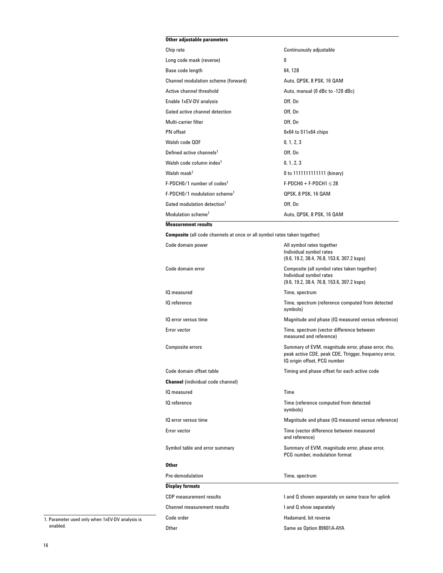### **Other adjustable parameters**

| Chip rate                                | Continuously adjustable          |
|------------------------------------------|----------------------------------|
| Long code mask (reverse)                 | 0                                |
| Base code length                         | 64, 128                          |
| Channel modulation scheme (forward)      | Auto, QPSK, 8 PSK, 16 QAM        |
| Active channel threshold                 | Auto, manual (0 dBc to -120 dBc) |
| Enable 1xEV-DV analysis                  | Off, On                          |
| Gated active channel detection           | Off. On                          |
| Multi-carrier filter                     | Off. On                          |
| PN offset                                | $0x64$ to $511x64$ chips         |
| Walsh code OOF                           | 0, 1, 2, 3                       |
| Defined active channels <sup>1</sup>     | 0ff. On                          |
| Walsh code column index <sup>1</sup>     | 0, 1, 2, 3                       |
| Walsh mask <sup>1</sup>                  | 0 to 1111111111111 (binary)      |
| F-PDCH0/1 number of codes <sup>1</sup>   | $F-PDCH0 + F-PDCH1 \leq 28$      |
| F-PDCH0/1 modulation scheme <sup>1</sup> | QPSK, 8 PSK, 16 QAM              |
| Gated modulation detection <sup>1</sup>  | 0ff. On                          |
| Modulation scheme <sup>1</sup>           | Auto, QPSK, 8 PSK, 16 QAM        |
| <b>Measurement results</b>               |                                  |

**Composite** (all code channels at once or all symbol rates taken together)

| Code domain power                        | All symbol rates together<br>Individual symbol rates<br>(9.6, 19.2, 38.4, 76.8, 153.6, 307.2 ksps)                                          |
|------------------------------------------|---------------------------------------------------------------------------------------------------------------------------------------------|
| Code domain error                        | Composite (all symbol rates taken together)<br>Individual symbol rates<br>(9.6, 19.2, 38.4, 76.8, 153.6, 307.2 ksps)                        |
| IQ measured                              | Time, spectrum                                                                                                                              |
| IQ reference                             | Time, spectrum (reference computed from detected<br>symbols)                                                                                |
| IQ error versus time                     | Magnitude and phase (IQ measured versus reference)                                                                                          |
| Error vector                             | Time, spectrum (vector difference between<br>measured and reference)                                                                        |
| <b>Composite errors</b>                  | Summary of EVM, magnitude error, phase error, rho,<br>peak active CDE, peak CDE, Ttrigger, frequency error,<br>IQ origin offset, PCG number |
| Code domain offset table                 | Timing and phase offset for each active code                                                                                                |
| <b>Channel</b> (individual code channel) |                                                                                                                                             |
| IQ measured                              | Time                                                                                                                                        |
| IQ reference                             | Time (reference computed from detected<br>symbols)                                                                                          |
| IQ error versus time                     | Magnitude and phase (IQ measured versus reference)                                                                                          |
| Error vector                             | Time (vector difference between measured<br>and reference)                                                                                  |
| Symbol table and error summary           | Summary of EVM, magnitude error, phase error,<br>PCG number, modulation format                                                              |
| <b>Other</b>                             |                                                                                                                                             |
| Pre-demodulation                         | Time, spectrum                                                                                                                              |
| <b>Display formats</b>                   |                                                                                                                                             |
| <b>CDP</b> measurement results           | I and Q shown separately on same trace for uplink                                                                                           |
| <b>Channel measurement results</b>       | I and Q show separately                                                                                                                     |
| Code order                               | Hadamard, bit reverse                                                                                                                       |
| Other                                    | Same as Option 89601A-AYA                                                                                                                   |

1. Parameter used only when 1xEV-DV analysis is enabled.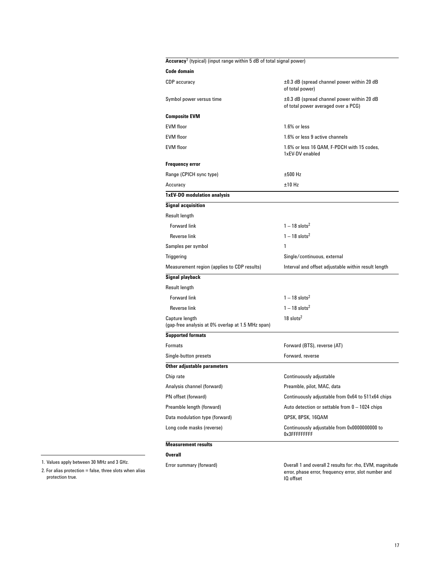## **Accuracy**<sup>1</sup> (typical) (input range within 5 dB of total signal power)

| Code domain                                                         |                                                                                        |
|---------------------------------------------------------------------|----------------------------------------------------------------------------------------|
| CDP accuracy                                                        | $\pm 0.3$ dB (spread channel power within 20 dB<br>of total power)                     |
| Symbol power versus time                                            | $\pm 0.3$ dB (spread channel power within 20 dB<br>of total power averaged over a PCG) |
| Composite EVM                                                       |                                                                                        |
| <b>EVM</b> floor                                                    | 1.6% or less                                                                           |
| EVM floor                                                           | 1.6% or less 9 active channels                                                         |
| EVM floor                                                           | 1.6% or less 16 QAM, F-PDCH with 15 codes,<br>1xEV-DV enabled                          |
| Frequency error                                                     |                                                                                        |
| Range (CPICH sync type)                                             | $±500$ Hz                                                                              |
| Accuracy                                                            | ±10 Hz                                                                                 |
| 1xEV-DO modulation analysis                                         |                                                                                        |
| <b>Signal acquisition</b>                                           |                                                                                        |
| Result length                                                       |                                                                                        |
| <b>Forward link</b>                                                 | $1 - 18$ slots <sup>2</sup>                                                            |
| Reverse link                                                        | $1 - 18$ slots <sup>2</sup>                                                            |
| Samples per symbol                                                  | 1                                                                                      |
| Triggering                                                          | Single/continuous, external                                                            |
| Measurement region (applies to CDP results)                         | Interval and offset adjustable within result length                                    |
| Signal playback                                                     |                                                                                        |
| Result length                                                       |                                                                                        |
| <b>Forward link</b>                                                 | $1 - 18$ slots <sup>2</sup>                                                            |
| Reverse link                                                        | $1 - 18$ slots <sup>2</sup>                                                            |
| Capture length<br>(gap-free analysis at 0% overlap at 1.5 MHz span) | $18$ slots <sup>2</sup>                                                                |
| <b>Supported formats</b>                                            |                                                                                        |
| Formats                                                             | Forward (BTS), reverse (AT)                                                            |
| Single-button presets                                               | Forward, reverse                                                                       |
| Other adjustable parameters                                         |                                                                                        |
| Chip rate                                                           | Continuously adjustable                                                                |
| Analysis channel (forward)                                          | Preamble, pilot, MAC, data                                                             |
| PN offset (forward)                                                 | Continuously adjustable from 0x64 to 511x64 chips                                      |
| Preamble length (forward)                                           | Auto detection or settable from $0 - 1024$ chips                                       |
| Data modulation type (forward)                                      | QPSK, 8PSK, 16QAM                                                                      |
| Long code masks (reverse)                                           | Continuously adjustable from 0x0000000000 to<br>0x3FFFFFFFFFF                          |
| <b>Measurement results</b>                                          |                                                                                        |
| Overall                                                             |                                                                                        |
|                                                                     |                                                                                        |

1. Values apply between 30 MHz and 3 GHz.

2. For alias protection = false, three slots when alias protection true.

Error summary (forward) Overall 1 and overall 2 results for: rho, EVM, magnitude error, phase error, frequency error, slot number and IQ offset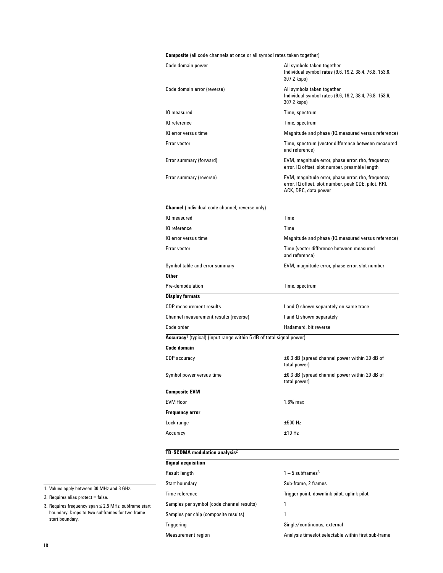**Composite** (all code channels at once or all symbol rates taken together)

| Code domain power                                                               | All symbols taken together<br>Individual symbol rates (9.6, 19.2, 38.4, 76.8, 153.6,<br>307.2 ksps)                               |
|---------------------------------------------------------------------------------|-----------------------------------------------------------------------------------------------------------------------------------|
| Code domain error (reverse)                                                     | All symbols taken together<br>Individual symbol rates (9.6, 19.2, 38.4, 76.8, 153.6,<br>307.2 ksps)                               |
| IQ measured                                                                     | Time, spectrum                                                                                                                    |
| IQ reference                                                                    | Time, spectrum                                                                                                                    |
| IQ error versus time                                                            | Magnitude and phase (IQ measured versus reference)                                                                                |
| Error vector                                                                    | Time, spectrum (vector difference between measured<br>and reference)                                                              |
| Error summary (forward)                                                         | EVM, magnitude error, phase error, rho, frequency<br>error, IQ offset, slot number, preamble length                               |
| Error summary (reverse)                                                         | EVM, magnitude error, phase error, rho, frequency<br>error, IQ offset, slot number, peak CDE, pilot, RRI,<br>ACK, DRC, data power |
| <b>Channel</b> (individual code channel, reverse only)                          |                                                                                                                                   |
| IQ measured                                                                     | Time                                                                                                                              |
| IQ reference                                                                    | Time                                                                                                                              |
| IQ error versus time                                                            | Magnitude and phase (IQ measured versus reference)                                                                                |
| Error vector                                                                    | Time (vector difference between measured<br>and reference)                                                                        |
| Symbol table and error summary                                                  | EVM, magnitude error, phase error, slot number                                                                                    |
| Other                                                                           |                                                                                                                                   |
| Pre-demodulation                                                                | Time, spectrum                                                                                                                    |
| <b>Display formats</b>                                                          |                                                                                                                                   |
| <b>CDP</b> measurement results                                                  | I and Q shown separately on same trace                                                                                            |
| Channel measurement results (reverse)                                           | I and Q shown separately                                                                                                          |
| Code order                                                                      | Hadamard, bit reverse                                                                                                             |
| Accuracy <sup>1</sup> (typical) (input range within 5 dB of total signal power) |                                                                                                                                   |
| <b>Code domain</b>                                                              |                                                                                                                                   |
| <b>CDP</b> accuracy                                                             | $\pm 0.3$ dB (spread channel power within 20 dB of<br>total power)                                                                |
| Symbol power versus time                                                        | $\pm 0.3$ dB (spread channel power within 20 dB of<br>total power)                                                                |
| <b>Composite EVM</b>                                                            |                                                                                                                                   |
| <b>EVM</b> floor                                                                | $1.6\%$ max                                                                                                                       |
| <b>Frequency error</b>                                                          |                                                                                                                                   |
| Lock range                                                                      | ±500 Hz                                                                                                                           |
| Accuracy                                                                        | ±10 Hz                                                                                                                            |

#### **TD-SCDMA modulation analysis**<sup>2</sup>

| <b>Signal acquisition</b>                 |                                                     |
|-------------------------------------------|-----------------------------------------------------|
| Result length                             | $1-5$ subframes <sup>3</sup>                        |
| Start boundary                            | Sub-frame, 2 frames                                 |
| Time reference                            | Trigger point, downlink pilot, uplink pilot         |
| Samples per symbol (code channel results) | 1                                                   |
| Samples per chip (composite results)      |                                                     |
| Triggering                                | Single/continuous, external                         |
| <b>Measurement region</b>                 | Analysis timeslot selectable within first sub-frame |

1. Values apply between 30 MHz and 3 GHz.

 $2.$  Requires alias protect = false.

3. Requires frequency span ≤ 2.5 MHz, subframe start boundary. Drops to two subframes for two frame start boundary.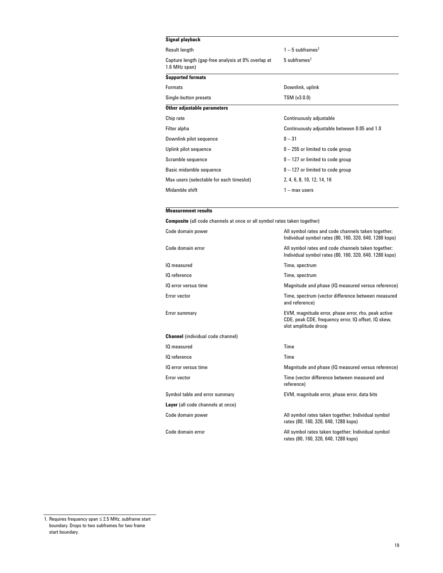| $1-5$ subframes <sup>1</sup>                 |
|----------------------------------------------|
| 5 subframes <sup>1</sup>                     |
|                                              |
| Downlink, uplink                             |
| TSM (v3.0.0)                                 |
|                                              |
| Continuously adjustable                      |
| Continuously adjustable between 0.05 and 1.0 |
| $0 - 31$                                     |
| $0 - 255$ or limited to code group           |
| $0 - 127$ or limited to code group           |
| $0 - 127$ or limited to code group           |
| 2, 4, 6, 8, 10, 12, 14, 16                   |
| $1 - max$ users                              |
|                                              |

### **Measurement results**

**Composite** (all code channels at once or all symbol rates taken together)

| Code domain power                        | All symbol rates and code channels taken together;<br>Individual symbol rates (80, 160, 320, 640, 1280 ksps)                       |
|------------------------------------------|------------------------------------------------------------------------------------------------------------------------------------|
| Code domain error                        | All symbol rates and code channels taken together;<br>Individual symbol rates (80, 160, 320, 640, 1280 ksps)                       |
| IQ measured                              | Time, spectrum                                                                                                                     |
| IQ reference                             | Time, spectrum                                                                                                                     |
| IQ error versus time                     | Magnitude and phase (IQ measured versus reference)                                                                                 |
| Error vector                             | Time, spectrum (vector difference between measured<br>and reference)                                                               |
| Error summary                            | EVM, magnitude error, phase error, rho, peak active<br>CDE, peak CDE, frequency error, IQ offset, IQ skew,<br>slot amplitude droop |
| <b>Channel</b> (individual code channel) |                                                                                                                                    |
| IQ measured                              | Time                                                                                                                               |
| IQ reference                             | Time                                                                                                                               |
| IQ error versus time                     | Magnitude and phase (IQ measured versus reference)                                                                                 |
| Error vector                             | Time (vector difference between measured and<br>reference)                                                                         |
| Symbol table and error summary           | EVM, magnitude error, phase error, data bits                                                                                       |
| Layer (all code channels at once)        |                                                                                                                                    |
| Code domain power                        | All symbol rates taken together; Individual symbol<br>rates (80, 160, 320, 640, 1280 ksps)                                         |
| Code domain error                        | All symbol rates taken together; Individual symbol<br>rates (80, 160, 320, 640, 1280 ksps)                                         |

<sup>1.</sup> Requires frequency span ≤ 2.5 MHz, subframe start boundary. Drops to two subframes for two frame start boundary.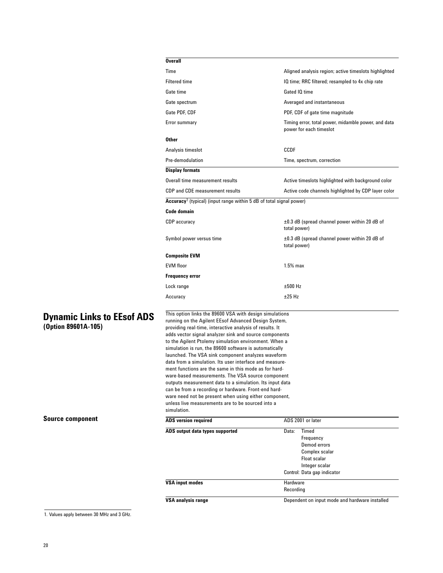| <b>Overall</b>                                                                                                                                                                                                                                                                                 |                                                                                |  |
|------------------------------------------------------------------------------------------------------------------------------------------------------------------------------------------------------------------------------------------------------------------------------------------------|--------------------------------------------------------------------------------|--|
| Time                                                                                                                                                                                                                                                                                           | Aligned analysis region; active timeslots highlighted                          |  |
| <b>Filtered time</b>                                                                                                                                                                                                                                                                           | IQ time; RRC filtered; resampled to 4x chip rate                               |  |
| Gate time                                                                                                                                                                                                                                                                                      | Gated IQ time                                                                  |  |
| Gate spectrum                                                                                                                                                                                                                                                                                  | Averaged and instantaneous                                                     |  |
| Gate PDF, CDF                                                                                                                                                                                                                                                                                  | PDF, CDF of gate time magnitude                                                |  |
| Error summary                                                                                                                                                                                                                                                                                  | Timing error, total power, midamble power, and data<br>power for each timeslot |  |
| <b>Other</b>                                                                                                                                                                                                                                                                                   |                                                                                |  |
| Analysis timeslot                                                                                                                                                                                                                                                                              | CCDF                                                                           |  |
| Pre-demodulation                                                                                                                                                                                                                                                                               | Time, spectrum, correction                                                     |  |
| <b>Display formats</b>                                                                                                                                                                                                                                                                         |                                                                                |  |
| Overall time measurement results<br>Active timeslots highlighted with background color                                                                                                                                                                                                         |                                                                                |  |
| CDP and CDE measurement results<br>Active code channels highlighted by CDP layer color                                                                                                                                                                                                         |                                                                                |  |
| Accuracy <sup>1</sup> (typical) (input range within 5 dB of total signal power)                                                                                                                                                                                                                |                                                                                |  |
| Code domain                                                                                                                                                                                                                                                                                    |                                                                                |  |
| CDP accuracy                                                                                                                                                                                                                                                                                   | ±0.3 dB (spread channel power within 20 dB of<br>total power)                  |  |
| Symbol power versus time                                                                                                                                                                                                                                                                       | $\pm 0.3$ dB (spread channel power within 20 dB of<br>total power)             |  |
| <b>Composite EVM</b>                                                                                                                                                                                                                                                                           |                                                                                |  |
| <b>EVM floor</b>                                                                                                                                                                                                                                                                               | $1.5%$ max                                                                     |  |
| <b>Frequency error</b>                                                                                                                                                                                                                                                                         |                                                                                |  |
| Lock range                                                                                                                                                                                                                                                                                     | ±500 Hz                                                                        |  |
| Accuracy                                                                                                                                                                                                                                                                                       | $±25$ Hz                                                                       |  |
| This option links the 89600 VSA with design simulations<br>running on the Agilent EEsof Advanced Design System,<br>providing real-time, interactive analysis of results. It<br>adds vector signal analyzer sink and source components<br>to the Agilent Ptolemy simulation environment. When a |                                                                                |  |

**Dynamic Links to EEsof ADS (Option 89601A-105)**

**Source component**

| <b>ADS</b> version required     | ADS 2001 or later                              |
|---------------------------------|------------------------------------------------|
| ADS output data types supported | Timed<br>Data:                                 |
|                                 | Frequency                                      |
|                                 | Demod errors                                   |
|                                 | Complex scalar                                 |
|                                 | Float scalar                                   |
|                                 | Integer scalar                                 |
|                                 | Control: Data gap indicator                    |
| <b>VSA input modes</b>          | Hardware                                       |
|                                 | Recording                                      |
| <b>VSA analysis range</b>       | Dependent on input mode and hardware installed |

simulation is run, the 89600 software is automatically launched. The VSA sink component analyzes waveform data from a simulation. Its user interface and measurement functions are the same in this mode as for hardware-based measurements. The VSA source component outputs measurement data to a simulation. Its input data can be from a recording or hardware. Front-end hardware need not be present when using either component, unless live measurements are to be sourced into a

1. Values apply between 30 MHz and 3 GHz.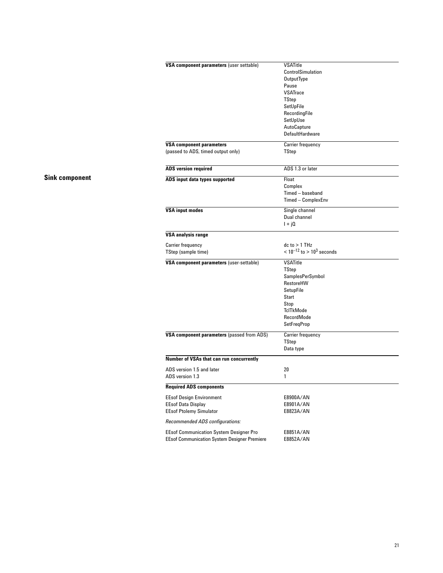| VSA component parameters (user settable)            | <b>VSATitle</b>                    |
|-----------------------------------------------------|------------------------------------|
|                                                     | ControlSimulation                  |
|                                                     | OutputType                         |
|                                                     | Pause                              |
|                                                     | <b>VSATrace</b>                    |
|                                                     | TStep                              |
|                                                     | SetUpFile                          |
|                                                     | RecordingFile                      |
|                                                     | SetUpUse                           |
|                                                     | AutoCapture                        |
|                                                     | DefaultHardware                    |
|                                                     |                                    |
| <b>VSA component parameters</b>                     | Carrier frequency                  |
| (passed to ADS, timed output only)                  | TStep                              |
|                                                     |                                    |
| <b>ADS</b> version required                         | ADS 1.3 or later                   |
|                                                     |                                    |
| ADS input data types supported                      | Float                              |
|                                                     | Complex                            |
|                                                     | Timed - baseband                   |
|                                                     | Timed - ComplexEnv                 |
|                                                     |                                    |
| <b>VSA input modes</b>                              | Single channel                     |
|                                                     | Dual channel                       |
|                                                     | $1 + i0$                           |
| <b>VSA analysis range</b>                           |                                    |
| <b>Carrier frequency</b>                            | $dc$ to $> 1$ THz                  |
| TStep (sample time)                                 | $< 10^{-12}$ to $> 10^{3}$ seconds |
| VSA component parameters (user-settable)            | <b>VSATitle</b>                    |
|                                                     | TStep                              |
|                                                     | SamplesPerSymbol                   |
|                                                     | RestoreHW                          |
|                                                     | SetupFile                          |
|                                                     |                                    |
|                                                     | Start                              |
|                                                     | Stop                               |
|                                                     | TclTkMode                          |
|                                                     | RecordMode                         |
|                                                     | <b>SetFreqProp</b>                 |
| VSA component parameters (passed from ADS)          | <b>Carrier frequency</b>           |
|                                                     | TStep                              |
|                                                     | Data type                          |
| Number of VSAs that can run concurrently            |                                    |
| ADS version 1.5 and later                           | 20                                 |
| ADS version 1.3                                     | 1                                  |
|                                                     |                                    |
| <b>Required ADS components</b>                      |                                    |
| <b>EEsof Design Environment</b>                     | E8900A/AN                          |
| <b>EEsof Data Display</b>                           | E8901A/AN                          |
| <b>EEsof Ptolemy Simulator</b>                      | E8823A/AN                          |
| Recommended ADS configurations:                     |                                    |
|                                                     |                                    |
| <b>EEsof Communication System Designer Pro</b>      | E8851A/AN                          |
| <b>EEsof Communication System Designer Premiere</b> | E8852A/AN                          |

# **Sink component**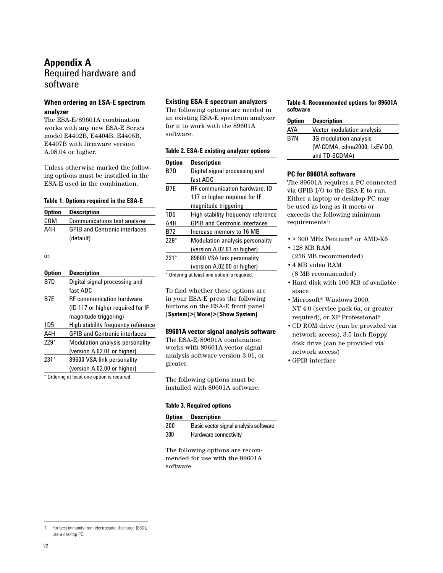# **Appendix A** Required hardware and software

# **When ordering an ESA-E spectrum analyzer**

The ESA-E/89601A combination works with any new ESA-E Series model E4402B, E4404B, E4405B, E4407B with firmware version A.08.04 or higher.

Unless otherwise marked the following options must be installed in the ESA-E used in the combination.

#### **Table 1. Options required in the ESA-E**

| <b>Option</b> | <b>Description</b>                   |
|---------------|--------------------------------------|
| COM           | <b>Communications test analyzer</b>  |
| A4H           | <b>GPIB and Centronic interfaces</b> |
|               | (default)                            |

or:

### **Option Description**

| B7D    | Digital signal processing and<br>fast ADC |
|--------|-------------------------------------------|
| B7E    | <b>RF</b> communication hardware          |
|        | (ID 117 or higher required for IF         |
|        | magnitude triggering)                     |
| 1D5    | High stability frequency reference        |
| A4H    | <b>GPIB and Centronic interfaces</b>      |
| $229*$ | Modulation analysis personality           |
|        | (version A.02.01 or higher)               |
| $231*$ | 89600 VSA link personality                |
|        | (version A.02.00 or higher)               |
|        |                                           |

\* Ordering at least one option is required.

### **Existing ESA-E spectrum analyzers**

The following options are needed in an existing ESA-E spectrum analyzer for it to work with the 89601A software.

#### **Table 2. ESA-E existing analyzer options**

| Option | <b>Description</b>                          |
|--------|---------------------------------------------|
| B7D    | Digital signal processing and               |
|        | fast ADC                                    |
| B7F    | <b>RF</b> communication hardware, ID        |
|        | 117 or higher reguired for IF               |
|        | magnitude triggering                        |
| 1D5    | High stability frequency reference          |
| A4H    | <b>GPIB and Centronic interfaces</b>        |
| B72    | Increase memory to 16 MB                    |
| $229*$ | Modulation analysis personality             |
|        | (version A.02.01 or higher)                 |
| $231*$ | 89600 VSA link personality                  |
|        | (version A.02.00 or higher)                 |
|        | * Ordering at least one option is required. |

To find whether these options are in your ESA-E press the following buttons on the ESA-E front panel: [**System]>[More]>[Show System]**.

### **89601A vector signal analysis software**

The ESA-E/89601A combination works with 89601A vector signal analysis software version 3.01, or greater.

The following options must be installed with 89601A software.

#### **Table 3. Required options**

|     | <b>Option Description</b>             |
|-----|---------------------------------------|
| 200 | Basic vector signal analysis software |
| 300 | Hardware connectivity                 |

The following options are recommended for use with the 89601A software.

#### **Table 4. Recommended options for 89601A software**

| <b>Option</b> | <b>Description</b>                |  |
|---------------|-----------------------------------|--|
| AYA           | <b>Vector modulation analysis</b> |  |
| B7N           | 3G modulation analysis            |  |
|               | (W-CDMA, cdma2000, 1xEV-DO,       |  |
|               | and TD-SCDMA)                     |  |

### **PC for 89601A software**

The 89601A requires a PC connected via GPIB I/O to the ESA-E to run. Either a laptop or desktop PC may be used as long as it meets or exceeds the following minimum requirements<sup>1</sup>:

- •> 300 MHz Pentium® or AMD-K6 •128 MB RAM
- (256 MB recommended)
- •4 MB video RAM (8 MB recommended)
- •Hard disk with 100 MB of available space
- •Microsoft® Windows 2000, NT 4.0 (service pack 6a, or greater required), or XP Professional®
- •CD ROM drive (can be provided via network access), 3.5 inch floppy disk drive (can be provided via network access)
- •GPIB interface

<sup>1.</sup> For best immunity from electrostatic discharge (ESD), use a desktop PC.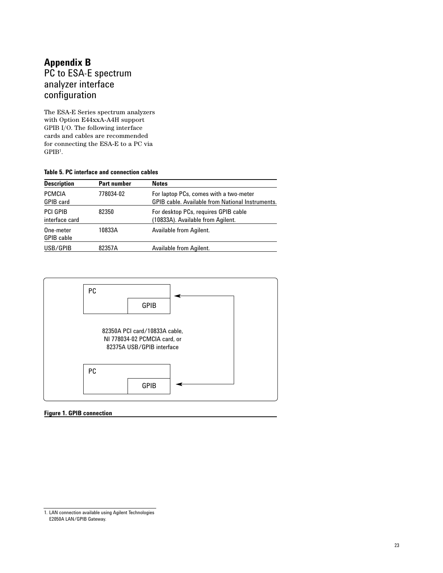# **Appendix B** PC to ESA-E spectrum analyzer interface configuration

The ESA-E Series spectrum analyzers with Option E44xxA-A4H support GPIB I/O. The following interface cards and cables are recommended for connecting the ESA-E to a PC via GPIB1.

### **Table 5. PC interface and connection cables**

| <b>Description</b>                | <b>Part number</b> | <b>Notes</b>                                                                                      |
|-----------------------------------|--------------------|---------------------------------------------------------------------------------------------------|
| PCMCIA<br><b>GPIB</b> card        | 778034-02          | For laptop PCs, comes with a two-meter<br><b>GPIB cable. Available from National Instruments.</b> |
| <b>PCI GPIB</b><br>interface card | 82350              | For desktop PCs, requires GPIB cable<br>(10833A). Available from Agilent.                         |
| One-meter<br><b>GPIB</b> cable    | 10833A             | Available from Agilent.                                                                           |
| USB/GPIB                          | 82357A             | Available from Agilent.                                                                           |



### **Figure 1. GPIB connection**

<sup>1.</sup> LAN connection available using Agilent Technologies E2050A LAN/GPIB Gateway.